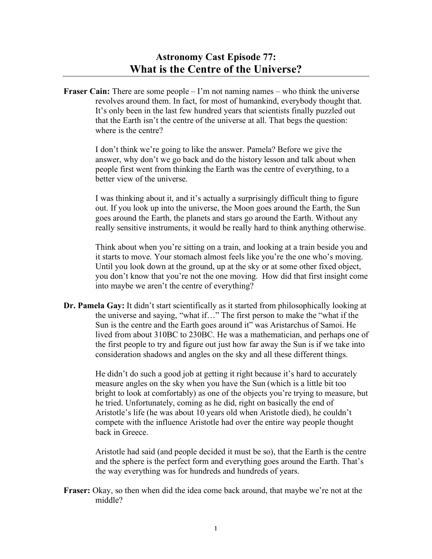**Fraser Cain:** There are some people – I'm not naming names – who think the universe revolves around them. In fact, for most of humankind, everybody thought that. It's only been in the last few hundred years that scientists finally puzzled out that the Earth isn't the centre of the universe at all. That begs the question: where is the centre?

> I don't think we're going to like the answer. Pamela? Before we give the answer, why don't we go back and do the history lesson and talk about when people first went from thinking the Earth was the centre of everything, to a better view of the universe.

I was thinking about it, and it's actually a surprisingly difficult thing to figure out. If you look up into the universe, the Moon goes around the Earth, the Sun goes around the Earth, the planets and stars go around the Earth. Without any really sensitive instruments, it would be really hard to think anything otherwise.

Think about when you're sitting on a train, and looking at a train beside you and it starts to move. Your stomach almost feels like you're the one who's moving. Until you look down at the ground, up at the sky or at some other fixed object, you don't know that you're not the one moving. How did that first insight come into maybe we aren't the centre of everything?

**Dr. Pamela Gay:** It didn't start scientifically as it started from philosophically looking at the universe and saying, "what if…" The first person to make the "what if the Sun is the centre and the Earth goes around it" was Aristarchus of Samoi. He lived from about 310BC to 230BC. He was a mathematician, and perhaps one of the first people to try and figure out just how far away the Sun is if we take into consideration shadows and angles on the sky and all these different things.

> He didn't do such a good job at getting it right because it's hard to accurately measure angles on the sky when you have the Sun (which is a little bit too bright to look at comfortably) as one of the objects you're trying to measure, but he tried. Unfortunately, coming as he did, right on basically the end of Aristotle's life (he was about 10 years old when Aristotle died), he couldn't compete with the influence Aristotle had over the entire way people thought back in Greece.

> Aristotle had said (and people decided it must be so), that the Earth is the centre and the sphere is the perfect form and everything goes around the Earth. That's the way everything was for hundreds and hundreds of years.

**Fraser:** Okay, so then when did the idea come back around, that maybe we're not at the middle?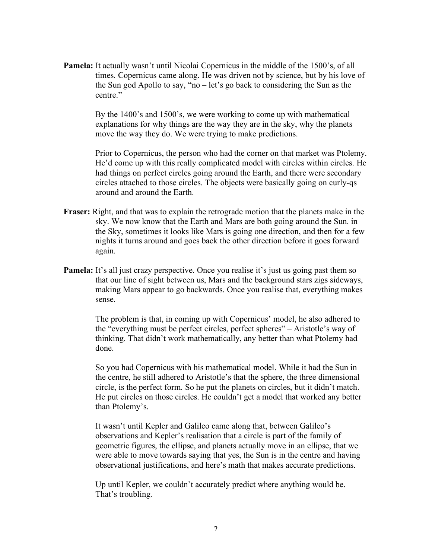**Pamela:** It actually wasn't until Nicolai Copernicus in the middle of the 1500's, of all times. Copernicus came along. He was driven not by science, but by his love of the Sun god Apollo to say, "no – let's go back to considering the Sun as the centre."

> By the 1400's and 1500's, we were working to come up with mathematical explanations for why things are the way they are in the sky, why the planets move the way they do. We were trying to make predictions.

Prior to Copernicus, the person who had the corner on that market was Ptolemy. He'd come up with this really complicated model with circles within circles. He had things on perfect circles going around the Earth, and there were secondary circles attached to those circles. The objects were basically going on curly-qs around and around the Earth.

- **Fraser:** Right, and that was to explain the retrograde motion that the planets make in the sky. We now know that the Earth and Mars are both going around the Sun. in the Sky, sometimes it looks like Mars is going one direction, and then for a few nights it turns around and goes back the other direction before it goes forward again.
- **Pamela:** It's all just crazy perspective. Once you realise it's just us going past them so that our line of sight between us, Mars and the background stars zigs sideways, making Mars appear to go backwards. Once you realise that, everything makes sense.

The problem is that, in coming up with Copernicus' model, he also adhered to the "everything must be perfect circles, perfect spheres" – Aristotle's way of thinking. That didn't work mathematically, any better than what Ptolemy had done.

So you had Copernicus with his mathematical model. While it had the Sun in the centre, he still adhered to Aristotle's that the sphere, the three dimensional circle, is the perfect form. So he put the planets on circles, but it didn't match. He put circles on those circles. He couldn't get a model that worked any better than Ptolemy's.

It wasn't until Kepler and Galileo came along that, between Galileo's observations and Kepler's realisation that a circle is part of the family of geometric figures, the ellipse, and planets actually move in an ellipse, that we were able to move towards saying that yes, the Sun is in the centre and having observational justifications, and here's math that makes accurate predictions.

Up until Kepler, we couldn't accurately predict where anything would be. That's troubling.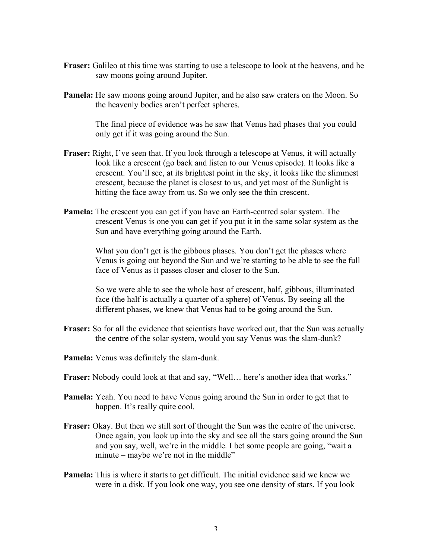- **Fraser:** Galileo at this time was starting to use a telescope to look at the heavens, and he saw moons going around Jupiter.
- **Pamela:** He saw moons going around Jupiter, and he also saw craters on the Moon. So the heavenly bodies aren't perfect spheres.

The final piece of evidence was he saw that Venus had phases that you could only get if it was going around the Sun.

- **Fraser:** Right, I've seen that. If you look through a telescope at Venus, it will actually look like a crescent (go back and listen to our Venus episode). It looks like a crescent. You'll see, at its brightest point in the sky, it looks like the slimmest crescent, because the planet is closest to us, and yet most of the Sunlight is hitting the face away from us. So we only see the thin crescent.
- **Pamela:** The crescent you can get if you have an Earth-centred solar system. The crescent Venus is one you can get if you put it in the same solar system as the Sun and have everything going around the Earth.

What you don't get is the gibbous phases. You don't get the phases where Venus is going out beyond the Sun and we're starting to be able to see the full face of Venus as it passes closer and closer to the Sun.

So we were able to see the whole host of crescent, half, gibbous, illuminated face (the half is actually a quarter of a sphere) of Venus. By seeing all the different phases, we knew that Venus had to be going around the Sun.

- **Fraser:** So for all the evidence that scientists have worked out, that the Sun was actually the centre of the solar system, would you say Venus was the slam-dunk?
- **Pamela:** Venus was definitely the slam-dunk.
- **Fraser:** Nobody could look at that and say, "Well… here's another idea that works."
- **Pamela:** Yeah. You need to have Venus going around the Sun in order to get that to happen. It's really quite cool.
- **Fraser:** Okay. But then we still sort of thought the Sun was the centre of the universe. Once again, you look up into the sky and see all the stars going around the Sun and you say, well, we're in the middle. I bet some people are going, "wait a minute – maybe we're not in the middle"
- **Pamela:** This is where it starts to get difficult. The initial evidence said we knew we were in a disk. If you look one way, you see one density of stars. If you look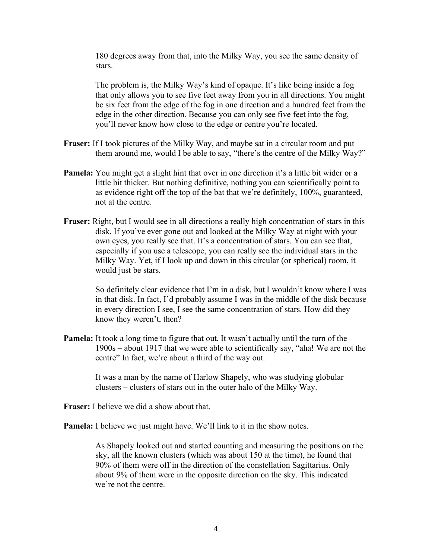180 degrees away from that, into the Milky Way, you see the same density of stars.

The problem is, the Milky Way's kind of opaque. It's like being inside a fog that only allows you to see five feet away from you in all directions. You might be six feet from the edge of the fog in one direction and a hundred feet from the edge in the other direction. Because you can only see five feet into the fog, you'll never know how close to the edge or centre you're located.

- **Fraser:** If I took pictures of the Milky Way, and maybe sat in a circular room and put them around me, would I be able to say, "there's the centre of the Milky Way?"
- **Pamela:** You might get a slight hint that over in one direction it's a little bit wider or a little bit thicker. But nothing definitive, nothing you can scientifically point to as evidence right off the top of the bat that we're definitely, 100%, guaranteed, not at the centre.
- **Fraser:** Right, but I would see in all directions a really high concentration of stars in this disk. If you've ever gone out and looked at the Milky Way at night with your own eyes, you really see that. It's a concentration of stars. You can see that, especially if you use a telescope, you can really see the individual stars in the Milky Way. Yet, if I look up and down in this circular (or spherical) room, it would just be stars.

So definitely clear evidence that I'm in a disk, but I wouldn't know where I was in that disk. In fact, I'd probably assume I was in the middle of the disk because in every direction I see, I see the same concentration of stars. How did they know they weren't, then?

**Pamela:** It took a long time to figure that out. It wasn't actually until the turn of the 1900s – about 1917 that we were able to scientifically say, "aha! We are not the centre" In fact, we're about a third of the way out.

> It was a man by the name of Harlow Shapely, who was studying globular clusters – clusters of stars out in the outer halo of the Milky Way.

**Fraser:** I believe we did a show about that.

**Pamela:** I believe we just might have. We'll link to it in the show notes.

As Shapely looked out and started counting and measuring the positions on the sky, all the known clusters (which was about 150 at the time), he found that 90% of them were off in the direction of the constellation Sagittarius. Only about 9% of them were in the opposite direction on the sky. This indicated we're not the centre.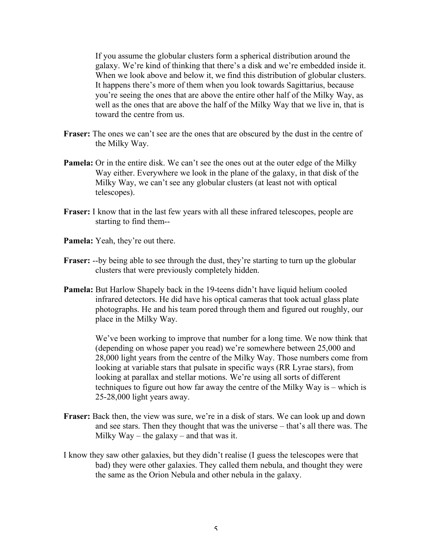If you assume the globular clusters form a spherical distribution around the galaxy. We're kind of thinking that there's a disk and we're embedded inside it. When we look above and below it, we find this distribution of globular clusters. It happens there's more of them when you look towards Sagittarius, because you're seeing the ones that are above the entire other half of the Milky Way, as well as the ones that are above the half of the Milky Way that we live in, that is toward the centre from us.

- **Fraser:** The ones we can't see are the ones that are obscured by the dust in the centre of the Milky Way.
- **Pamela:** Or in the entire disk. We can't see the ones out at the outer edge of the Milky Way either. Everywhere we look in the plane of the galaxy, in that disk of the Milky Way, we can't see any globular clusters (at least not with optical telescopes).
- **Fraser:** I know that in the last few years with all these infrared telescopes, people are starting to find them--
- **Pamela:** Yeah, they're out there.
- **Fraser:** --by being able to see through the dust, they're starting to turn up the globular clusters that were previously completely hidden.
- **Pamela:** But Harlow Shapely back in the 19-teens didn't have liquid helium cooled infrared detectors. He did have his optical cameras that took actual glass plate photographs. He and his team pored through them and figured out roughly, our place in the Milky Way.

We've been working to improve that number for a long time. We now think that (depending on whose paper you read) we're somewhere between 25,000 and 28,000 light years from the centre of the Milky Way. Those numbers come from looking at variable stars that pulsate in specific ways (RR Lyrae stars), from looking at parallax and stellar motions. We're using all sorts of different techniques to figure out how far away the centre of the Milky Way is – which is 25-28,000 light years away.

- **Fraser:** Back then, the view was sure, we're in a disk of stars. We can look up and down and see stars. Then they thought that was the universe – that's all there was. The Milky  $Wav$  – the galaxy – and that was it.
- I know they saw other galaxies, but they didn't realise (I guess the telescopes were that bad) they were other galaxies. They called them nebula, and thought they were the same as the Orion Nebula and other nebula in the galaxy.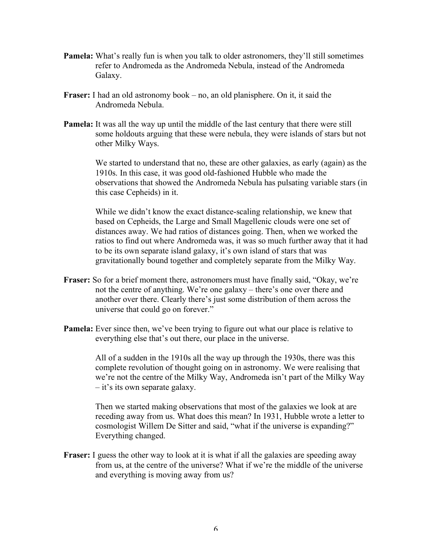- **Pamela:** What's really fun is when you talk to older astronomers, they'll still sometimes refer to Andromeda as the Andromeda Nebula, instead of the Andromeda Galaxy.
- **Fraser:** I had an old astronomy book no, an old planisphere. On it, it said the Andromeda Nebula.
- **Pamela:** It was all the way up until the middle of the last century that there were still some holdouts arguing that these were nebula, they were islands of stars but not other Milky Ways.

We started to understand that no, these are other galaxies, as early (again) as the 1910s. In this case, it was good old-fashioned Hubble who made the observations that showed the Andromeda Nebula has pulsating variable stars (in this case Cepheids) in it.

While we didn't know the exact distance-scaling relationship, we knew that based on Cepheids, the Large and Small Magellenic clouds were one set of distances away. We had ratios of distances going. Then, when we worked the ratios to find out where Andromeda was, it was so much further away that it had to be its own separate island galaxy, it's own island of stars that was gravitationally bound together and completely separate from the Milky Way.

- **Fraser:** So for a brief moment there, astronomers must have finally said, "Okay, we're not the centre of anything. We're one galaxy – there's one over there and another over there. Clearly there's just some distribution of them across the universe that could go on forever."
- **Pamela:** Ever since then, we've been trying to figure out what our place is relative to everything else that's out there, our place in the universe.

All of a sudden in the 1910s all the way up through the 1930s, there was this complete revolution of thought going on in astronomy. We were realising that we're not the centre of the Milky Way, Andromeda isn't part of the Milky Way – it's its own separate galaxy.

Then we started making observations that most of the galaxies we look at are receding away from us. What does this mean? In 1931, Hubble wrote a letter to cosmologist Willem De Sitter and said, "what if the universe is expanding?" Everything changed.

**Fraser:** I guess the other way to look at it is what if all the galaxies are speeding away from us, at the centre of the universe? What if we're the middle of the universe and everything is moving away from us?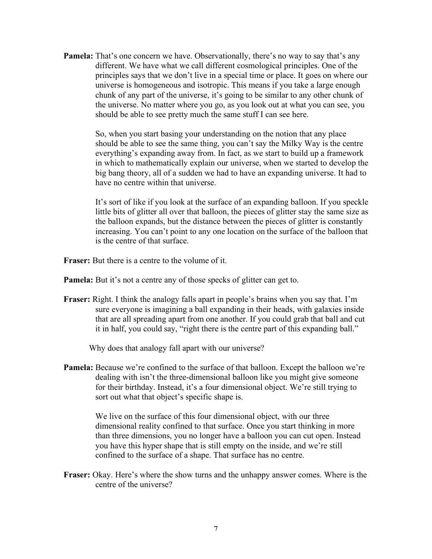**Pamela:** That's one concern we have. Observationally, there's no way to say that's any different. We have what we call different cosmological principles. One of the principles says that we don't live in a special time or place. It goes on where our universe is homogeneous and isotropic. This means if you take a large enough chunk of any part of the universe, it's going to be similar to any other chunk of the universe. No matter where you go, as you look out at what you can see, you should be able to see pretty much the same stuff I can see here.

> So, when you start basing your understanding on the notion that any place should be able to see the same thing, you can't say the Milky Way is the centre everything's expanding away from. In fact, as we start to build up a framework in which to mathematically explain our universe, when we started to develop the big bang theory, all of a sudden we had to have an expanding universe. It had to have no centre within that universe.

> It's sort of like if you look at the surface of an expanding balloon. If you speckle little bits of glitter all over that balloon, the pieces of glitter stay the same size as the balloon expands, but the distance between the pieces of glitter is constantly increasing. You can't point to any one location on the surface of the balloon that is the centre of that surface.

**Fraser:** But there is a centre to the volume of it.

**Pamela:** But it's not a centre any of those specks of glitter can get to.

**Fraser:** Right. I think the analogy falls apart in people's brains when you say that. I'm sure everyone is imagining a ball expanding in their heads, with galaxies inside that are all spreading apart from one another. If you could grab that ball and cut it in half, you could say, "right there is the centre part of this expanding ball."

Why does that analogy fall apart with our universe?

**Pamela:** Because we're confined to the surface of that balloon. Except the balloon we're dealing with isn't the three-dimensional balloon like you might give someone for their birthday. Instead, it's a four dimensional object. We're still trying to sort out what that object's specific shape is.

> We live on the surface of this four dimensional object, with our three dimensional reality confined to that surface. Once you start thinking in more than three dimensions, you no longer have a balloon you can cut open. Instead you have this hyper shape that is still empty on the inside, and we're still confined to the surface of a shape. That surface has no centre.

**Fraser:** Okay. Here's where the show turns and the unhappy answer comes. Where is the centre of the universe?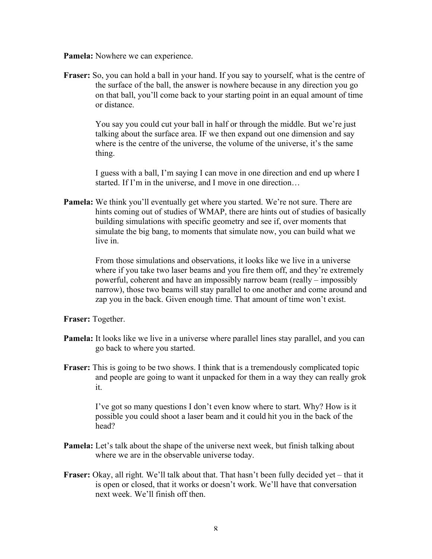**Pamela:** Nowhere we can experience.

**Fraser:** So, you can hold a ball in your hand. If you say to yourself, what is the centre of the surface of the ball, the answer is nowhere because in any direction you go on that ball, you'll come back to your starting point in an equal amount of time or distance.

> You say you could cut your ball in half or through the middle. But we're just talking about the surface area. IF we then expand out one dimension and say where is the centre of the universe, the volume of the universe, it's the same thing.

I guess with a ball, I'm saying I can move in one direction and end up where I started. If I'm in the universe, and I move in one direction…

**Pamela:** We think you'll eventually get where you started. We're not sure. There are hints coming out of studies of WMAP, there are hints out of studies of basically building simulations with specific geometry and see if, over moments that simulate the big bang, to moments that simulate now, you can build what we live in.

> From those simulations and observations, it looks like we live in a universe where if you take two laser beams and you fire them off, and they're extremely powerful, coherent and have an impossibly narrow beam (really – impossibly narrow), those two beams will stay parallel to one another and come around and zap you in the back. Given enough time. That amount of time won't exist.

**Fraser:** Together.

- **Pamela:** It looks like we live in a universe where parallel lines stay parallel, and you can go back to where you started.
- **Fraser:** This is going to be two shows. I think that is a tremendously complicated topic and people are going to want it unpacked for them in a way they can really grok it.

I've got so many questions I don't even know where to start. Why? How is it possible you could shoot a laser beam and it could hit you in the back of the head?

- **Pamela:** Let's talk about the shape of the universe next week, but finish talking about where we are in the observable universe today.
- **Fraser:** Okay, all right. We'll talk about that. That hasn't been fully decided yet that it is open or closed, that it works or doesn't work. We'll have that conversation next week. We'll finish off then.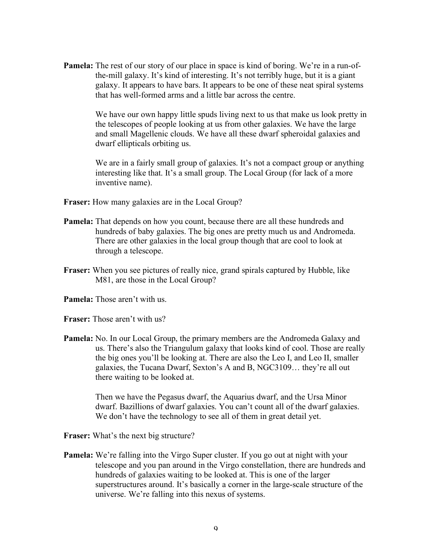**Pamela:** The rest of our story of our place in space is kind of boring. We're in a run-ofthe-mill galaxy. It's kind of interesting. It's not terribly huge, but it is a giant galaxy. It appears to have bars. It appears to be one of these neat spiral systems that has well-formed arms and a little bar across the centre.

> We have our own happy little spuds living next to us that make us look pretty in the telescopes of people looking at us from other galaxies. We have the large and small Magellenic clouds. We have all these dwarf spheroidal galaxies and dwarf ellipticals orbiting us.

> We are in a fairly small group of galaxies. It's not a compact group or anything interesting like that. It's a small group. The Local Group (for lack of a more inventive name).

- **Fraser:** How many galaxies are in the Local Group?
- **Pamela:** That depends on how you count, because there are all these hundreds and hundreds of baby galaxies. The big ones are pretty much us and Andromeda. There are other galaxies in the local group though that are cool to look at through a telescope.
- **Fraser:** When you see pictures of really nice, grand spirals captured by Hubble, like M81, are those in the Local Group?
- **Pamela:** Those aren't with us.
- **Fraser:** Those aren't with us?
- **Pamela:** No. In our Local Group, the primary members are the Andromeda Galaxy and us. There's also the Triangulum galaxy that looks kind of cool. Those are really the big ones you'll be looking at. There are also the Leo I, and Leo II, smaller galaxies, the Tucana Dwarf, Sexton's A and B, NGC3109… they're all out there waiting to be looked at.

Then we have the Pegasus dwarf, the Aquarius dwarf, and the Ursa Minor dwarf. Bazillions of dwarf galaxies. You can't count all of the dwarf galaxies. We don't have the technology to see all of them in great detail yet.

- **Fraser:** What's the next big structure?
- **Pamela:** We're falling into the Virgo Super cluster. If you go out at night with your telescope and you pan around in the Virgo constellation, there are hundreds and hundreds of galaxies waiting to be looked at. This is one of the larger superstructures around. It's basically a corner in the large-scale structure of the universe. We're falling into this nexus of systems.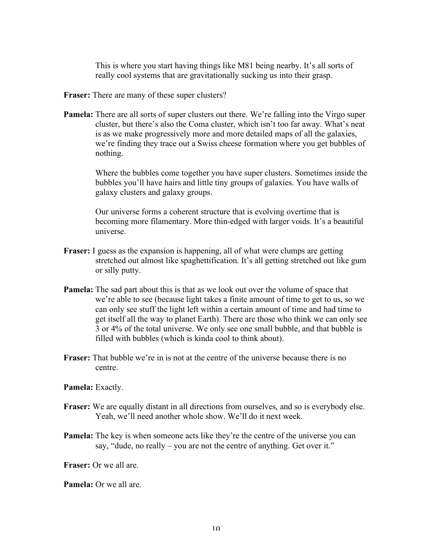This is where you start having things like M81 being nearby. It's all sorts of really cool systems that are gravitationally sucking us into their grasp.

- **Fraser:** There are many of these super clusters?
- **Pamela:** There are all sorts of super clusters out there. We're falling into the Virgo super cluster, but there's also the Coma cluster, which isn't too far away. What's neat is as we make progressively more and more detailed maps of all the galaxies, we're finding they trace out a Swiss cheese formation where you get bubbles of nothing.

Where the bubbles come together you have super clusters. Sometimes inside the bubbles you'll have hairs and little tiny groups of galaxies. You have walls of galaxy clusters and galaxy groups.

Our universe forms a coherent structure that is evolving overtime that is becoming more filamentary. More thin-edged with larger voids. It's a beautiful universe.

- **Fraser:** I guess as the expansion is happening, all of what were clumps are getting stretched out almost like spaghettification. It's all getting stretched out like gum or silly putty.
- **Pamela:** The sad part about this is that as we look out over the volume of space that we're able to see (because light takes a finite amount of time to get to us, so we can only see stuff the light left within a certain amount of time and had time to get itself all the way to planet Earth). There are those who think we can only see 3 or 4% of the total universe. We only see one small bubble, and that bubble is filled with bubbles (which is kinda cool to think about).
- **Fraser:** That bubble we're in is not at the centre of the universe because there is no centre.

**Pamela:** Exactly.

- **Fraser:** We are equally distant in all directions from ourselves, and so is everybody else. Yeah, we'll need another whole show. We'll do it next week.
- **Pamela:** The key is when someone acts like they're the centre of the universe you can say, "dude, no really – you are not the centre of anything. Get over it."

**Fraser:** Or we all are.

**Pamela:** Or we all are.